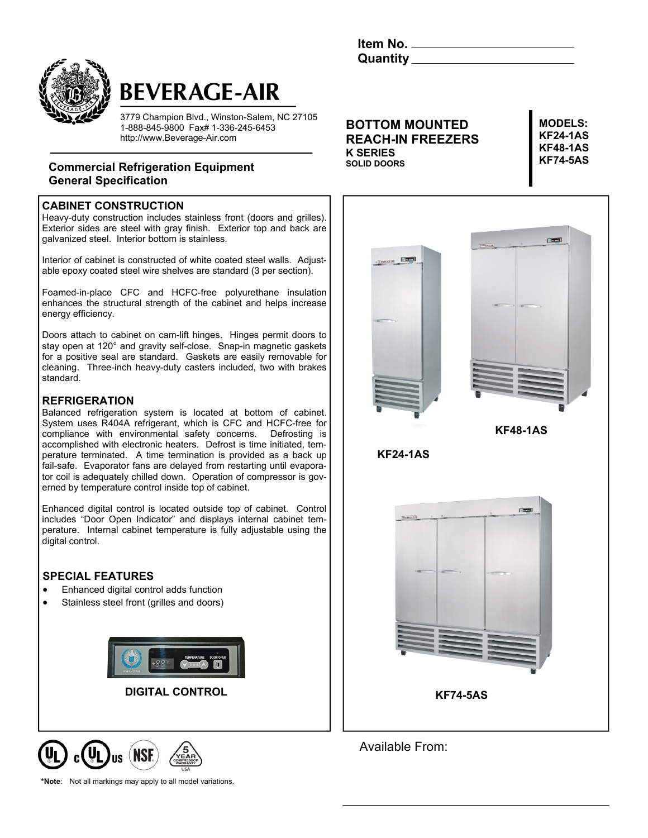



# **BEVERAGE-AIR**

3779 Champion Blvd., Winston-Salem, NC 27105 1-888-845-9800 Fax# 1-336-245-6453 http://www.Beverage-Air.com

## **Commercial Refrigeration Equipment KEY SERVE SOLID DOORS KF74-5AS General Specification**

### **CABINET CONSTRUCTION**

Heavy-duty construction includes stainless front (doors and grilles). Exterior sides are steel with gray finish. Exterior top and back are galvanized steel. Interior bottom is stainless.

Interior of cabinet is constructed of white coated steel walls. Adjustable epoxy coated steel wire shelves are standard (3 per section).

Foamed-in-place CFC and HCFC-free polyurethane insulation enhances the structural strength of the cabinet and helps increase energy efficiency.

Doors attach to cabinet on cam-lift hinges. Hinges permit doors to stay open at 120° and gravity self-close. Snap-in magnetic gaskets for a positive seal are standard. Gaskets are easily removable for cleaning. Three-inch heavy-duty casters included, two with brakes standard.

### **REFRIGERATION**

Balanced refrigeration system is located at bottom of cabinet. System uses R404A refrigerant, which is CFC and HCFC-free for compliance with environmental safety concerns. Defrosting is accomplished with electronic heaters. Defrost is time initiated, temperature terminated. A time termination is provided as a back up fail-safe. Evaporator fans are delayed from restarting until evaporator coil is adequately chilled down. Operation of compressor is governed by temperature control inside top of cabinet.

Enhanced digital control is located outside top of cabinet. Control includes "Door Open Indicator" and displays internal cabinet temperature. Internal cabinet temperature is fully adjustable using the digital control.

### **SPECIAL FEATURES**

- Enhanced digital control adds function
- Stainless steel front (grilles and doors)





**\*Note**: Not all markings may apply to all model variations.

**BOTTOM MOUNTED REACH-IN FREEZERS K SERIES SOLID DOORS** 

**MODELS: KF24-1AS KF48-1AS** 



Available From: